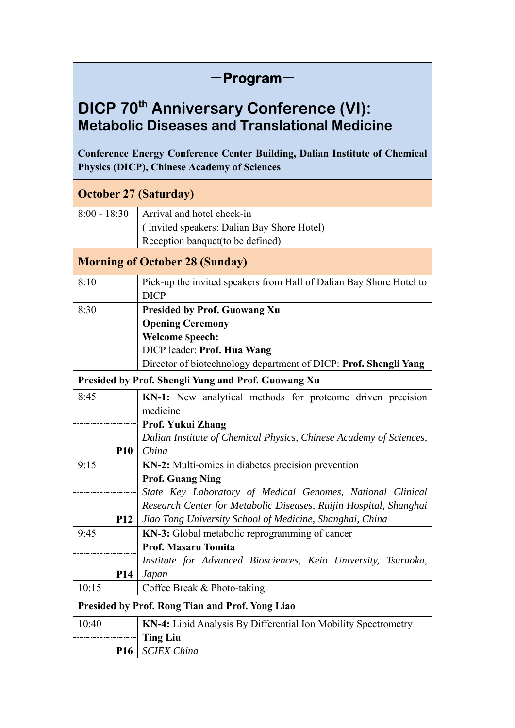| -Program <sup>.</sup>                                                                                                                   |                                                                                                                                                                                                                  |  |
|-----------------------------------------------------------------------------------------------------------------------------------------|------------------------------------------------------------------------------------------------------------------------------------------------------------------------------------------------------------------|--|
| <b>DICP 70th Anniversary Conference (VI):</b><br><b>Metabolic Diseases and Translational Medicine</b>                                   |                                                                                                                                                                                                                  |  |
| <b>Conference Energy Conference Center Building, Dalian Institute of Chemical</b><br><b>Physics (DICP), Chinese Academy of Sciences</b> |                                                                                                                                                                                                                  |  |
| <b>October 27 (Saturday)</b>                                                                                                            |                                                                                                                                                                                                                  |  |
| $8:00 - 18:30$                                                                                                                          | Arrival and hotel check-in<br>(Invited speakers: Dalian Bay Shore Hotel)<br>Reception banquet(to be defined)                                                                                                     |  |
|                                                                                                                                         | <b>Morning of October 28 (Sunday)</b>                                                                                                                                                                            |  |
| 8:10                                                                                                                                    | Pick-up the invited speakers from Hall of Dalian Bay Shore Hotel to<br><b>DICP</b>                                                                                                                               |  |
| 8:30                                                                                                                                    | <b>Presided by Prof. Guowang Xu</b><br><b>Opening Ceremony</b><br><b>Welcome Speech:</b><br>DICP leader: Prof. Hua Wang<br>Director of biotechnology department of DICP: Prof. Shengli Yang                      |  |
|                                                                                                                                         | Presided by Prof. Shengli Yang and Prof. Guowang Xu                                                                                                                                                              |  |
| 8:45<br><b>P10</b>                                                                                                                      | <b>KN-1:</b> New analytical methods for proteome driven precision<br>medicine<br>Prof. Yukui Zhang<br>Dalian Institute of Chemical Physics, Chinese Academy of Sciences,<br>China                                |  |
| 9:15                                                                                                                                    | KN-2: Multi-omics in diabetes precision prevention<br><b>Prof. Guang Ning</b><br>State Key Laboratory of Medical Genomes, National Clinical<br>Research Center for Metabolic Diseases, Ruijin Hospital, Shanghai |  |
| <b>P12</b><br>9:45                                                                                                                      | Jiao Tong University School of Medicine, Shanghai, China<br>KN-3: Global metabolic reprogramming of cancer<br><b>Prof. Masaru Tomita</b><br>Institute for Advanced Biosciences, Keio University, Tsuruoka,       |  |
| <b>P14</b><br>10:15                                                                                                                     | Japan<br>Coffee Break & Photo-taking                                                                                                                                                                             |  |
| Presided by Prof. Rong Tian and Prof. Yong Liao                                                                                         |                                                                                                                                                                                                                  |  |
| 10:40<br><b>P16</b>                                                                                                                     | KN-4: Lipid Analysis By Differential Ion Mobility Spectrometry<br><b>Ting Liu</b><br><b>SCIEX China</b>                                                                                                          |  |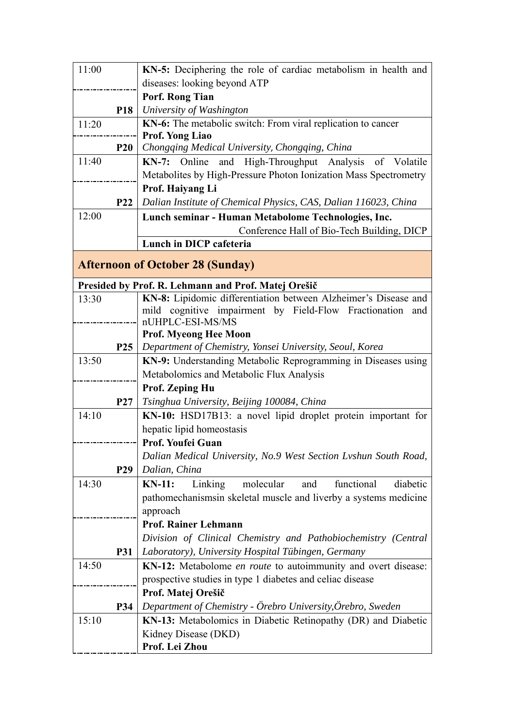| 11:00 |                 | KN-5: Deciphering the role of cardiac metabolism in health and              |
|-------|-----------------|-----------------------------------------------------------------------------|
|       |                 | diseases: looking beyond ATP                                                |
|       |                 | Porf. Rong Tian                                                             |
|       | <b>P18</b>      | University of Washington                                                    |
| 11:20 |                 | KN-6: The metabolic switch: From viral replication to cancer                |
|       |                 | Prof. Yong Liao                                                             |
|       | <b>P20</b>      | Chongqing Medical University, Chongqing, China                              |
| 11:40 |                 | KN-7: Online and High-Throughput Analysis of Volatile                       |
|       |                 | Metabolites by High-Pressure Photon Ionization Mass Spectrometry            |
|       |                 | Prof. Haiyang Li                                                            |
|       | <b>P22</b>      | Dalian Institute of Chemical Physics, CAS, Dalian 116023, China             |
| 12:00 |                 | Lunch seminar - Human Metabolome Technologies, Inc.                         |
|       |                 | Conference Hall of Bio-Tech Building, DICP                                  |
|       |                 | Lunch in DICP cafeteria                                                     |
|       |                 |                                                                             |
|       |                 | <b>Afternoon of October 28 (Sunday)</b>                                     |
|       |                 | Presided by Prof. R. Lehmann and Prof. Matej Orešič                         |
| 13:30 |                 | KN-8: Lipidomic differentiation between Alzheimer's Disease and             |
|       |                 | mild cognitive impairment by Field-Flow Fractionation and                   |
|       |                 | nUHPLC-ESI-MS/MS                                                            |
|       |                 | <b>Prof. Myeong Hee Moon</b>                                                |
|       | P <sub>25</sub> | Department of Chemistry, Yonsei University, Seoul, Korea                    |
| 13:50 |                 | KN-9: Understanding Metabolic Reprogramming in Diseases using               |
|       |                 | Metabolomics and Metabolic Flux Analysis                                    |
|       |                 | <b>Prof. Zeping Hu</b>                                                      |
|       | <b>P27</b>      | Tsinghua University, Beijing 100084, China                                  |
| 14:10 |                 | KN-10: HSD17B13: a novel lipid droplet protein important for                |
|       |                 | hepatic lipid homeostasis                                                   |
|       |                 | Prof. Youfei Guan                                                           |
|       |                 | Dalian Medical University, No.9 West Section Lyshun South Road,             |
|       | P <sub>29</sub> | Dalian, China                                                               |
| 14:30 |                 | functional<br>molecular<br>$KN-11$ :<br>Linking<br>diabetic<br>and          |
|       |                 | pathomechanisms in skeletal muscle and liverby a systems medicine           |
|       |                 | approach                                                                    |
|       |                 | <b>Prof. Rainer Lehmann</b>                                                 |
|       |                 | Division of Clinical Chemistry and Pathobiochemistry (Central               |
|       | <b>P31</b>      | Laboratory), University Hospital Tübingen, Germany                          |
| 14:50 |                 | <b>KN-12:</b> Metabolome <i>en route</i> to autoimmunity and overt disease: |
|       |                 | prospective studies in type 1 diabetes and celiac disease                   |
|       |                 | Prof. Matej Orešič                                                          |
|       | P34             | Department of Chemistry - Örebro University, Örebro, Sweden                 |
| 15:10 |                 | KN-13: Metabolomics in Diabetic Retinopathy (DR) and Diabetic               |
|       |                 | Kidney Disease (DKD)                                                        |
|       |                 | Prof. Lei Zhou                                                              |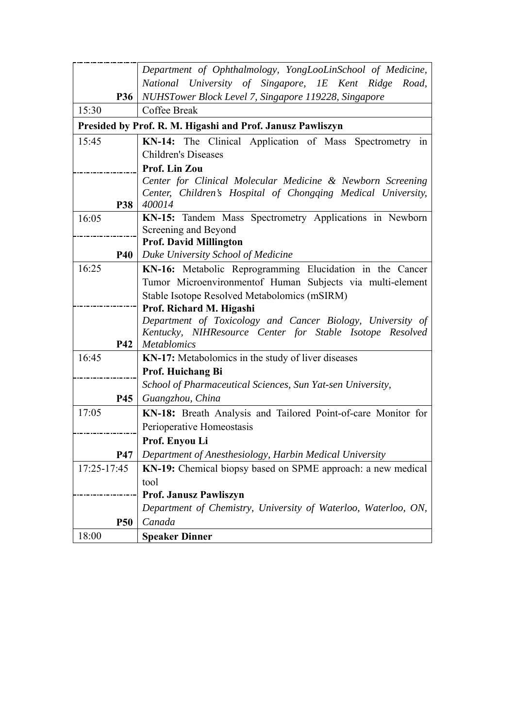|             | Department of Ophthalmology, YongLooLinSchool of Medicine,                             |
|-------------|----------------------------------------------------------------------------------------|
|             | National University of Singapore, IE Kent Ridge<br>Road,                               |
| <b>P36</b>  | NUHSTower Block Level 7, Singapore 119228, Singapore                                   |
| 15:30       | Coffee Break                                                                           |
|             | Presided by Prof. R. M. Higashi and Prof. Janusz Pawliszyn                             |
| 15:45       | KN-14: The Clinical Application of Mass Spectrometry in                                |
|             | <b>Children's Diseases</b>                                                             |
|             | Prof. Lin Zou                                                                          |
|             | Center for Clinical Molecular Medicine & Newborn Screening                             |
|             | Center, Children's Hospital of Chongqing Medical University,                           |
| P38         | 400014                                                                                 |
| 16:05       | KN-15: Tandem Mass Spectrometry Applications in Newborn                                |
|             | Screening and Beyond                                                                   |
|             | <b>Prof. David Millington</b>                                                          |
| <b>P40</b>  | Duke University School of Medicine                                                     |
| 16:25       | KN-16: Metabolic Reprogramming Elucidation in the Cancer                               |
|             | Tumor Microenvironmentof Human Subjects via multi-element                              |
|             | Stable Isotope Resolved Metabolomics (mSIRM)                                           |
|             | Prof. Richard M. Higashi<br>Department of Toxicology and Cancer Biology, University of |
|             | Kentucky, NIHResource Center for Stable Isotope Resolved                               |
| <b>P42</b>  | <b>Metablomics</b>                                                                     |
| 16:45       | KN-17: Metabolomics in the study of liver diseases                                     |
|             | Prof. Huichang Bi                                                                      |
|             | School of Pharmaceutical Sciences, Sun Yat-sen University,                             |
| <b>P45</b>  | Guangzhou, China                                                                       |
| 17:05       | KN-18: Breath Analysis and Tailored Point-of-care Monitor for                          |
|             | Perioperative Homeostasis                                                              |
|             | Prof. Enyou Li                                                                         |
| <b>P47</b>  | Department of Anesthesiology, Harbin Medical University                                |
| 17:25-17:45 | KN-19: Chemical biopsy based on SPME approach: a new medical                           |
|             | tool                                                                                   |
|             | <b>Prof. Janusz Pawliszyn</b>                                                          |
|             | Department of Chemistry, University of Waterloo, Waterloo, ON,                         |
| <b>P50</b>  | Canada                                                                                 |
| 18:00       | <b>Speaker Dinner</b>                                                                  |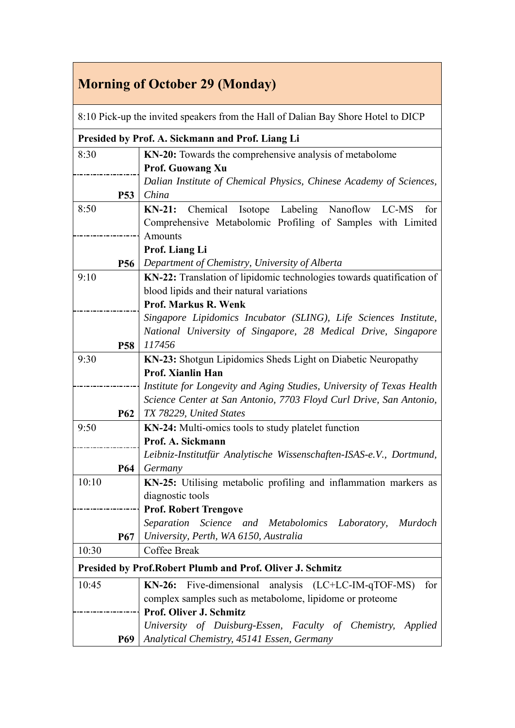## **Morning of October 29 (Monday)**

| 8:10 Pick-up the invited speakers from the Hall of Dalian Bay Shore Hotel to DICP |            |                                                                       |
|-----------------------------------------------------------------------------------|------------|-----------------------------------------------------------------------|
| Presided by Prof. A. Sickmann and Prof. Liang Li                                  |            |                                                                       |
| 8:30                                                                              |            | KN-20: Towards the comprehensive analysis of metabolome               |
|                                                                                   |            | <b>Prof. Guowang Xu</b>                                               |
|                                                                                   |            | Dalian Institute of Chemical Physics, Chinese Academy of Sciences,    |
|                                                                                   | <b>P53</b> | China                                                                 |
| 8:50                                                                              |            | Chemical<br>Isotope Labeling Nanoflow LC-MS<br>$KN-21:$<br>for        |
|                                                                                   |            | Comprehensive Metabolomic Profiling of Samples with Limited           |
|                                                                                   |            | <b>Amounts</b>                                                        |
|                                                                                   |            | Prof. Liang Li                                                        |
|                                                                                   | <b>P56</b> | Department of Chemistry, University of Alberta                        |
| 9:10                                                                              |            | KN-22: Translation of lipidomic technologies towards quatification of |
|                                                                                   |            | blood lipids and their natural variations                             |
|                                                                                   |            | Prof. Markus R. Wenk                                                  |
|                                                                                   |            | Singapore Lipidomics Incubator (SLING), Life Sciences Institute,      |
|                                                                                   |            | National University of Singapore, 28 Medical Drive, Singapore         |
|                                                                                   | <b>P58</b> | 117456                                                                |
| 9:30                                                                              |            | KN-23: Shotgun Lipidomics Sheds Light on Diabetic Neuropathy          |
|                                                                                   |            | Prof. Xianlin Han                                                     |
|                                                                                   |            | Institute for Longevity and Aging Studies, University of Texas Health |
|                                                                                   |            | Science Center at San Antonio, 7703 Floyd Curl Drive, San Antonio,    |
|                                                                                   | <b>P62</b> | TX 78229, United States                                               |
| 9:50                                                                              |            | KN-24: Multi-omics tools to study platelet function                   |
|                                                                                   |            | Prof. A. Sickmann                                                     |
|                                                                                   |            | Leibniz-Institutfür Analytische Wissenschaften-ISAS-e.V., Dortmund,   |
|                                                                                   | <b>P64</b> | Germany                                                               |
| 10:10                                                                             |            | KN-25: Utilising metabolic profiling and inflammation markers as      |
|                                                                                   |            | diagnostic tools                                                      |
|                                                                                   |            | <b>Prof. Robert Trengove</b>                                          |
|                                                                                   |            | Separation Science and<br>Metabolomics Laboratory,<br><i>Murdoch</i>  |
|                                                                                   | <b>P67</b> | University, Perth, WA 6150, Australia                                 |
| 10:30                                                                             |            | Coffee Break                                                          |
|                                                                                   |            | <b>Presided by Prof. Robert Plumb and Prof. Oliver J. Schmitz</b>     |
| 10:45                                                                             |            | Five-dimensional<br>$KN-26$ :<br>analysis $(LC+LC-IM-qTOF-MS)$<br>for |
|                                                                                   |            | complex samples such as metabolome, lipidome or proteome              |
|                                                                                   |            | Prof. Oliver J. Schmitz                                               |
|                                                                                   |            | University of Duisburg-Essen, Faculty of Chemistry, Applied           |
|                                                                                   | <b>P69</b> | Analytical Chemistry, 45141 Essen, Germany                            |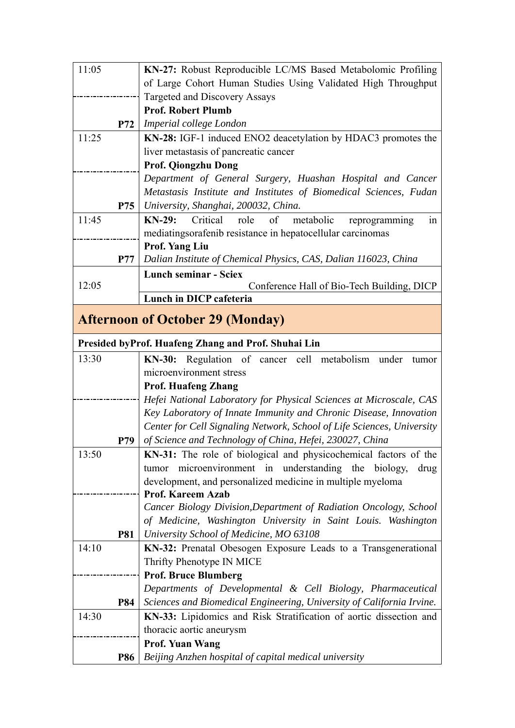| 11:05 |            | KN-27: Robust Reproducible LC/MS Based Metabolomic Profiling            |
|-------|------------|-------------------------------------------------------------------------|
|       |            | of Large Cohort Human Studies Using Validated High Throughput           |
|       |            | Targeted and Discovery Assays                                           |
|       |            | <b>Prof. Robert Plumb</b>                                               |
|       | P72        | Imperial college London                                                 |
| 11:25 |            | KN-28: IGF-1 induced ENO2 deacetylation by HDAC3 promotes the           |
|       |            | liver metastasis of pancreatic cancer                                   |
|       |            | Prof. Qiongzhu Dong                                                     |
|       |            | Department of General Surgery, Huashan Hospital and Cancer              |
|       |            | Metastasis Institute and Institutes of Biomedical Sciences, Fudan       |
|       | P75        | University, Shanghai, 200032, China.                                    |
| 11:45 |            | Critical<br>$KN-29$ :<br>role<br>of<br>metabolic<br>reprogramming<br>1n |
|       |            | mediatingsorafenib resistance in hepatocellular carcinomas              |
|       |            | <b>Prof. Yang Liu</b>                                                   |
|       | <b>P77</b> | Dalian Institute of Chemical Physics, CAS, Dalian 116023, China         |
|       |            | <b>Lunch seminar - Sciex</b>                                            |
| 12:05 |            | Conference Hall of Bio-Tech Building, DICP                              |
|       |            | Lunch in DICP cafeteria                                                 |
|       |            | <b>Afternoon of October 29 (Monday)</b>                                 |
|       |            |                                                                         |
|       |            | Presided byProf. Huafeng Zhang and Prof. Shuhai Lin                     |
| 13:30 |            | KN-30: Regulation of cancer cell metabolism under<br>tumor              |
|       |            | microenvironment stress                                                 |
|       |            | <b>Prof. Huafeng Zhang</b>                                              |
|       |            | Hefei National Laboratory for Physical Sciences at Microscale, CAS      |
|       |            | Key Laboratory of Innate Immunity and Chronic Disease, Innovation       |
|       |            | Center for Cell Signaling Network, School of Life Sciences, University  |
|       | P79        | of Science and Technology of China, Hefei, 230027, China                |
| 13:50 |            | KN-31: The role of biological and physicochemical factors of the        |
|       |            | tumor microenvironment in understanding the biology,<br>drug            |
|       |            | development, and personalized medicine in multiple myeloma              |
|       |            | <b>Prof. Kareem Azab</b>                                                |
|       |            | Cancer Biology Division, Department of Radiation Oncology, School       |
|       |            | of Medicine, Washington University in Saint Louis. Washington           |
|       | <b>P81</b> | University School of Medicine, MO 63108                                 |
| 14:10 |            | KN-32: Prenatal Obesogen Exposure Leads to a Transgenerational          |
|       |            | Thrifty Phenotype IN MICE                                               |
|       |            | <b>Prof. Bruce Blumberg</b>                                             |
|       |            | Departments of Developmental & Cell Biology, Pharmaceutical             |
|       | <b>P84</b> | Sciences and Biomedical Engineering, University of California Irvine.   |
| 14:30 |            | KN-33: Lipidomics and Risk Stratification of aortic dissection and      |
|       |            | thoracic aortic aneurysm                                                |
|       |            | <b>Prof. Yuan Wang</b>                                                  |
|       | P86        | Beijing Anzhen hospital of capital medical university                   |